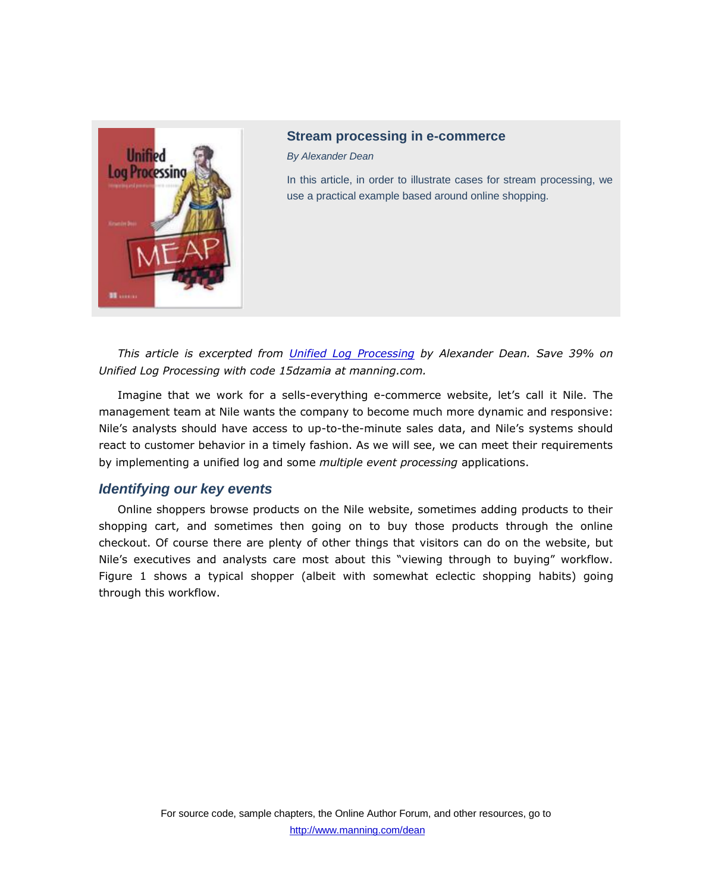

# **Stream processing in e-commerce**

*By Alexander Dean*

In this article, in order to illustrate cases for stream processing, we use a practical example based around online shopping.

*This article is excerpted from [Unified Log Processing](http://www.manning.com/dean/) by Alexander Dean. Save 39% on Unified Log Processing with code 15dzamia at manning.com.*

Imagine that we work for a sells-everything e-commerce website, let's call it Nile. The management team at Nile wants the company to become much more dynamic and responsive: Nile's analysts should have access to up-to-the-minute sales data, and Nile's systems should react to customer behavior in a timely fashion. As we will see, we can meet their requirements by implementing a unified log and some *multiple event processing* applications.

# *Identifying our key events*

Online shoppers browse products on the Nile website, sometimes adding products to their shopping cart, and sometimes then going on to buy those products through the online checkout. Of course there are plenty of other things that visitors can do on the website, but Nile's executives and analysts care most about this "viewing through to buying" workflow. Figure 1 shows a typical shopper (albeit with somewhat eclectic shopping habits) going through this workflow.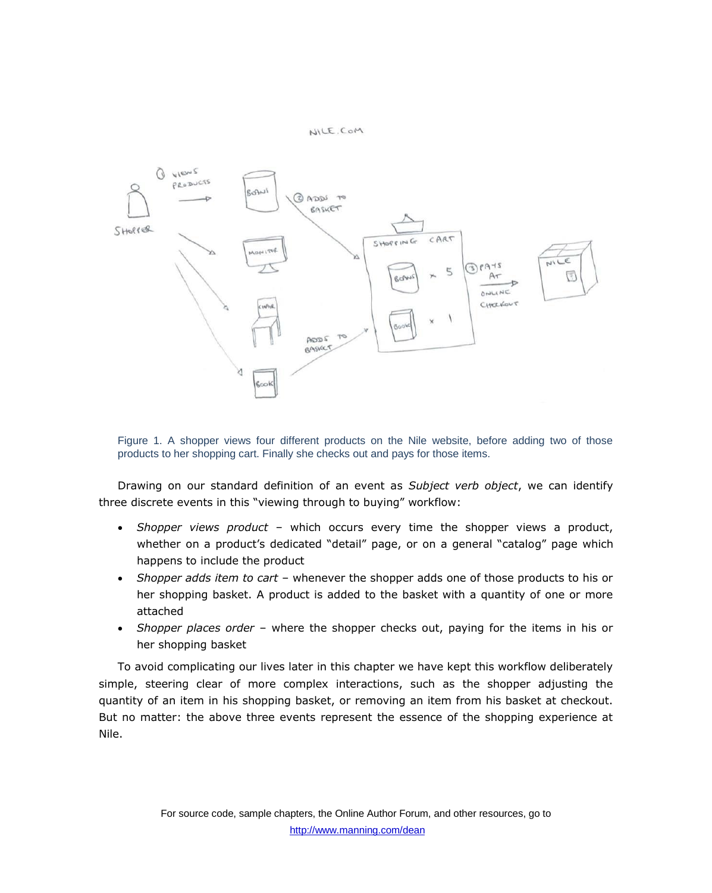NILE.COM



Figure 1. A shopper views four different products on the Nile website, before adding two of those products to her shopping cart. Finally she checks out and pays for those items.

Drawing on our standard definition of an event as *Subject verb object*, we can identify three discrete events in this "viewing through to buying" workflow:

- *Shopper views product*  which occurs every time the shopper views a product, whether on a product's dedicated "detail" page, or on a general "catalog" page which happens to include the product
- *Shopper adds item to cart*  whenever the shopper adds one of those products to his or her shopping basket. A product is added to the basket with a quantity of one or more attached
- *Shopper places order*  where the shopper checks out, paying for the items in his or her shopping basket

To avoid complicating our lives later in this chapter we have kept this workflow deliberately simple, steering clear of more complex interactions, such as the shopper adjusting the quantity of an item in his shopping basket, or removing an item from his basket at checkout. But no matter: the above three events represent the essence of the shopping experience at Nile.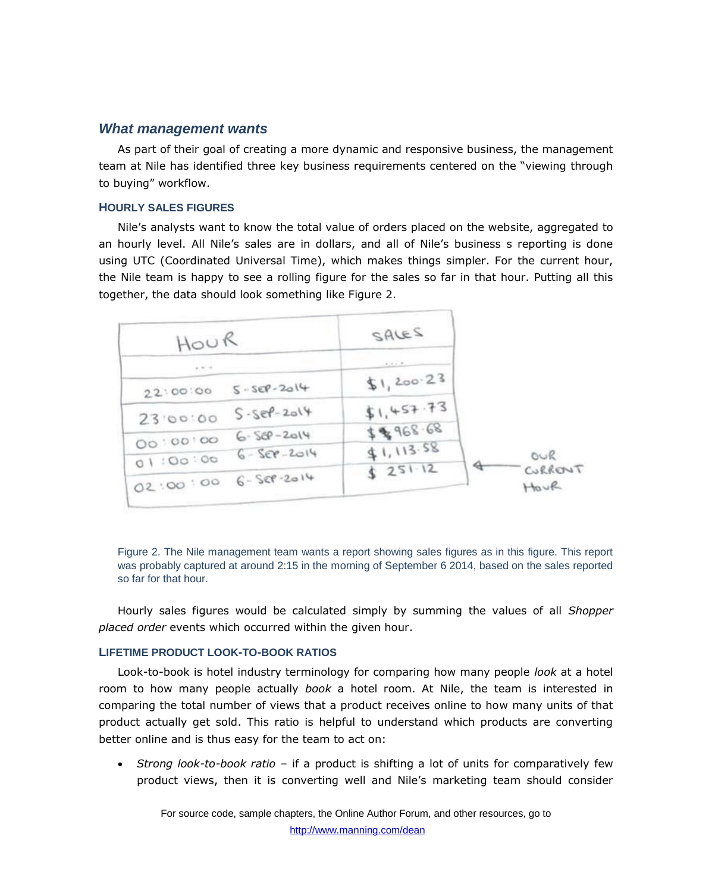### *What management wants*

As part of their goal of creating a more dynamic and responsive business, the management team at Nile has identified three key business requirements centered on the "viewing through to buying" workflow.

#### **HOURLY SALES FIGURES**

Nile's analysts want to know the total value of orders placed on the website, aggregated to an hourly level. All Nile's sales are in dollars, and all of Nile's business s reporting is done using UTC (Coordinated Universal Time), which makes things simpler. For the current hour, the Nile team is happy to see a rolling figure for the sales so far in that hour. Putting all this together, the data should look something like Figure 2.

| HOUR     |                     | SALES       |         |
|----------|---------------------|-------------|---------|
| $+ - -$  |                     | 0.0000      |         |
| 22:00:00 | $S - SEP - 2014$    | \$1, 200.23 |         |
| 23.00:00 | $S-Ser-2014$        | \$1,457.73  |         |
| 00:00:00 | $6 - 56P - 2014$    | \$\$968.68  |         |
|          | $6 - 569 - 2014$    | 41,113.58   | OUR     |
| 01:00:00 | 02:00:00 6-528-2014 | 5251.12     | CURRENT |
|          |                     |             | Hour    |

Figure 2. The Nile management team wants a report showing sales figures as in this figure. This report was probably captured at around 2:15 in the morning of September 6 2014, based on the sales reported so far for that hour.

Hourly sales figures would be calculated simply by summing the values of all *Shopper placed order* events which occurred within the given hour.

# **LIFETIME PRODUCT LOOK-TO-BOOK RATIOS**

Look-to-book is hotel industry terminology for comparing how many people *look* at a hotel room to how many people actually *book* a hotel room. At Nile, the team is interested in comparing the total number of views that a product receives online to how many units of that product actually get sold. This ratio is helpful to understand which products are converting better online and is thus easy for the team to act on:

 *Strong look-to-book ratio* – if a product is shifting a lot of units for comparatively few product views, then it is converting well and Nile's marketing team should consider

For source code, sample chapters, the Online Author Forum, and other resources, go to http://www.manning.com/dean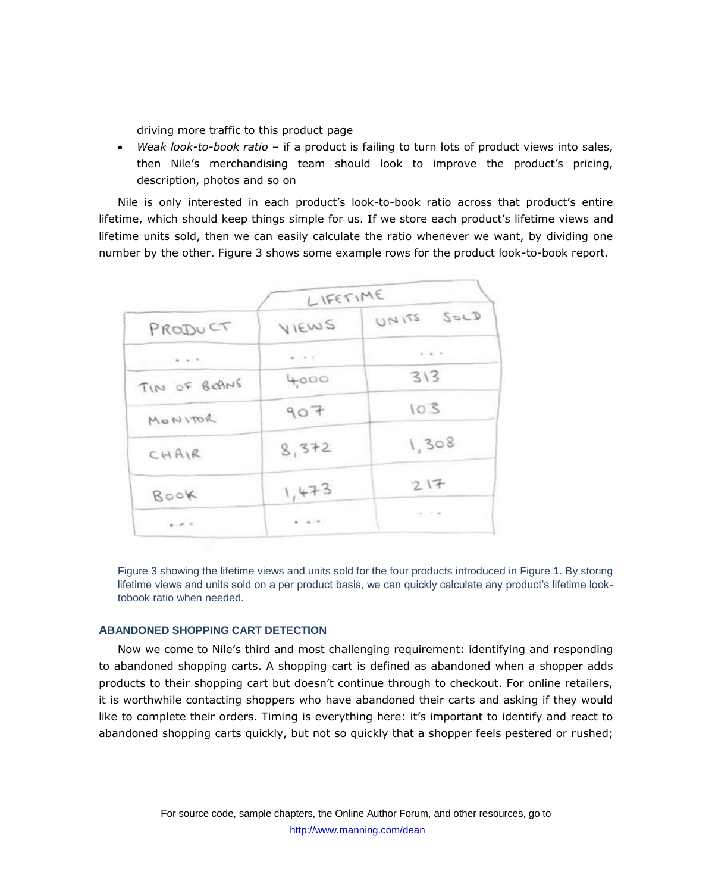driving more traffic to this product page

 *Weak look-to-book ratio* – if a product is failing to turn lots of product views into sales, then Nile's merchandising team should look to improve the product's pricing, description, photos and so on

Nile is only interested in each product's look-to-book ratio across that product's entire lifetime, which should keep things simple for us. If we store each product's lifetime views and lifetime units sold, then we can easily calculate the ratio whenever we want, by dividing one number by the other. Figure 3 shows some example rows for the product look-to-book report.

|                                                                                                                                                     | LIFETIME |                                                                                  |  |
|-----------------------------------------------------------------------------------------------------------------------------------------------------|----------|----------------------------------------------------------------------------------|--|
| PRODUCT                                                                                                                                             | VIEWS    | SocD<br>UNITS                                                                    |  |
| $0.16 - 0.1$                                                                                                                                        | $-0.0$   | $\mathcal{C}(\mathcal{C}) = \mathcal{C}(\mathcal{C}) = \mathcal{C}(\mathcal{C})$ |  |
| TIN OF BEANS                                                                                                                                        | 4,000    | 313                                                                              |  |
| MONITOR                                                                                                                                             | 907      | 103                                                                              |  |
| CHAIR                                                                                                                                               | 8,372    | 1,308                                                                            |  |
| Book                                                                                                                                                | 1,473    | 217                                                                              |  |
| $\frac{1}{2} \left( \begin{array}{cc} 1 & 0 \\ 0 & 1 \end{array} \right) = \frac{1}{2} \left( \begin{array}{cc} 1 & 0 \\ 0 & 1 \end{array} \right)$ | $-1.7$   | 25.000                                                                           |  |

Figure 3 showing the lifetime views and units sold for the four products introduced in Figure 1. By storing lifetime views and units sold on a per product basis, we can quickly calculate any product's lifetime looktobook ratio when needed.

# **ABANDONED SHOPPING CART DETECTION**

Now we come to Nile's third and most challenging requirement: identifying and responding to abandoned shopping carts. A shopping cart is defined as abandoned when a shopper adds products to their shopping cart but doesn't continue through to checkout. For online retailers, it is worthwhile contacting shoppers who have abandoned their carts and asking if they would like to complete their orders. Timing is everything here: it's important to identify and react to abandoned shopping carts quickly, but not so quickly that a shopper feels pestered or rushed;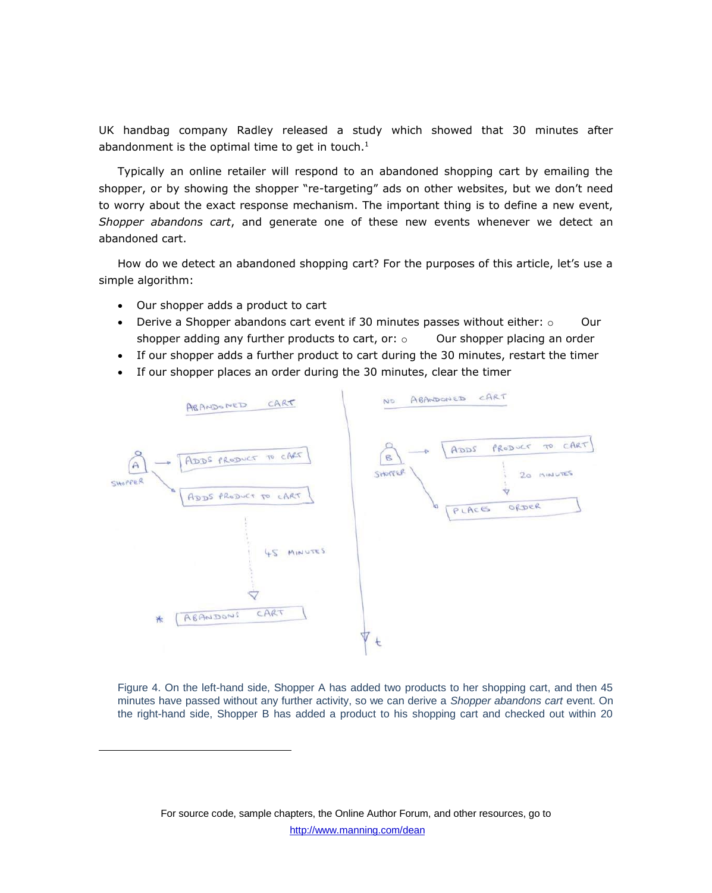UK handbag company Radley released a study which showed that 30 minutes after abandonment is the optimal time to get in touch. $<sup>1</sup>$ </sup>

Typically an online retailer will respond to an abandoned shopping cart by emailing the shopper, or by showing the shopper "re-targeting" ads on other websites, but we don't need to worry about the exact response mechanism. The important thing is to define a new event, *Shopper abandons cart*, and generate one of these new events whenever we detect an abandoned cart.

How do we detect an abandoned shopping cart? For the purposes of this article, let's use a simple algorithm:

Our shopper adds a product to cart

 $\overline{\phantom{a}}$ 

- Derive a Shopper abandons cart event if 30 minutes passes without either:  $\circ$  Our shopper adding any further products to cart, or:  $\circ$  Our shopper placing an order
- If our shopper adds a further product to cart during the 30 minutes, restart the timer
- If our shopper places an order during the 30 minutes, clear the timer



Figure 4. On the left-hand side, Shopper A has added two products to her shopping cart, and then 45 minutes have passed without any further activity, so we can derive a *Shopper abandons cart* event. On the right-hand side, Shopper B has added a product to his shopping cart and checked out within 20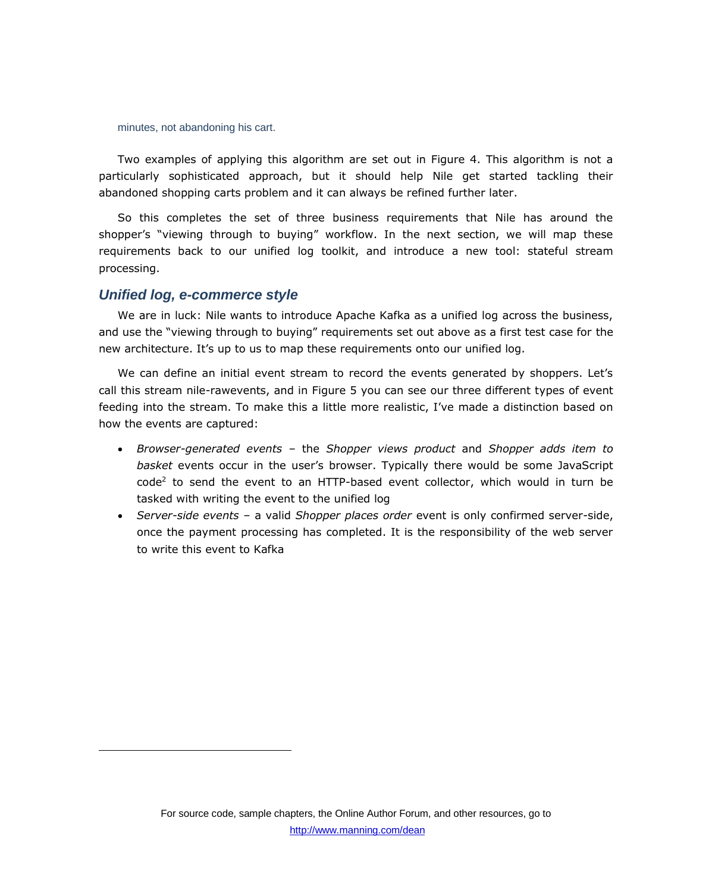minutes, not abandoning his cart.

Two examples of applying this algorithm are set out in Figure 4. This algorithm is not a particularly sophisticated approach, but it should help Nile get started tackling their abandoned shopping carts problem and it can always be refined further later.

So this completes the set of three business requirements that Nile has around the shopper's "viewing through to buying" workflow. In the next section, we will map these requirements back to our unified log toolkit, and introduce a new tool: stateful stream processing.

# *Unified log, e-commerce style*

 $\overline{\phantom{a}}$ 

We are in luck: Nile wants to introduce Apache Kafka as a unified log across the business, and use the "viewing through to buying" requirements set out above as a first test case for the new architecture. It's up to us to map these requirements onto our unified log.

We can define an initial event stream to record the events generated by shoppers. Let's call this stream nile-rawevents, and in Figure 5 you can see our three different types of event feeding into the stream. To make this a little more realistic, I've made a distinction based on how the events are captured:

- *Browser-generated events*  the *Shopper views product* and *Shopper adds item to basket* events occur in the user's browser. Typically there would be some JavaScript code<sup>2</sup> to send the event to an HTTP-based event collector, which would in turn be tasked with writing the event to the unified log
- *Server-side events*  a valid *Shopper places order* event is only confirmed server-side, once the payment processing has completed. It is the responsibility of the web server to write this event to Kafka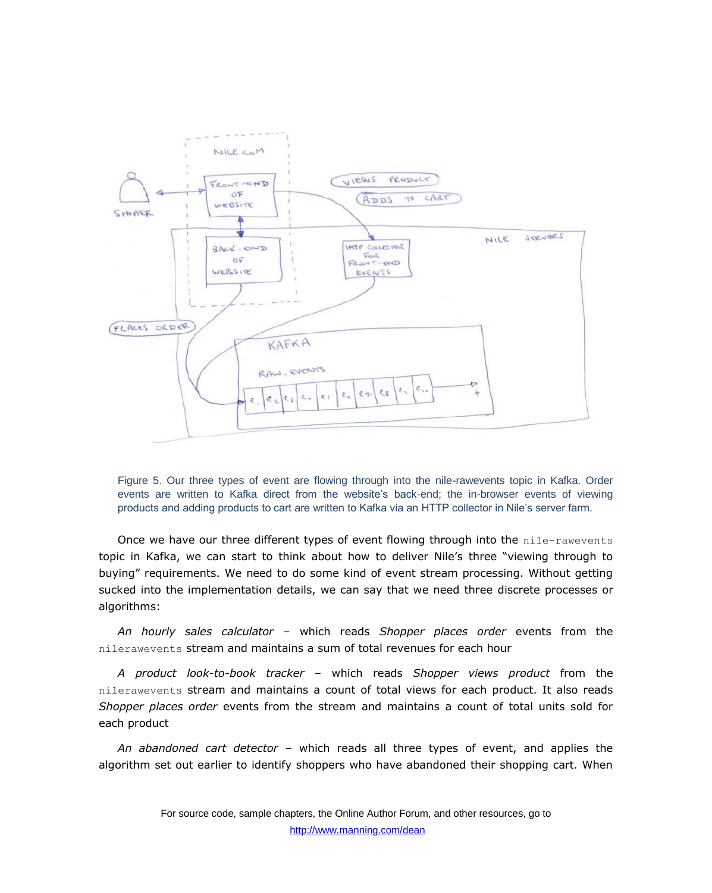

Figure 5. Our three types of event are flowing through into the nile-rawevents topic in Kafka. Order events are written to Kafka direct from the website's back-end; the in-browser events of viewing products and adding products to cart are written to Kafka via an HTTP collector in Nile's server farm.

Once we have our three different types of event flowing through into the nile-rawevents topic in Kafka, we can start to think about how to deliver Nile's three "viewing through to buying" requirements. We need to do some kind of event stream processing. Without getting sucked into the implementation details, we can say that we need three discrete processes or algorithms:

*An hourly sales calculator* – which reads *Shopper places order* events from the nilerawevents stream and maintains a sum of total revenues for each hour

*A product look-to-book tracker* – which reads *Shopper views product* from the nilerawevents stream and maintains a count of total views for each product. It also reads *Shopper places order* events from the stream and maintains a count of total units sold for each product

*An abandoned cart detector* – which reads all three types of event, and applies the algorithm set out earlier to identify shoppers who have abandoned their shopping cart. When